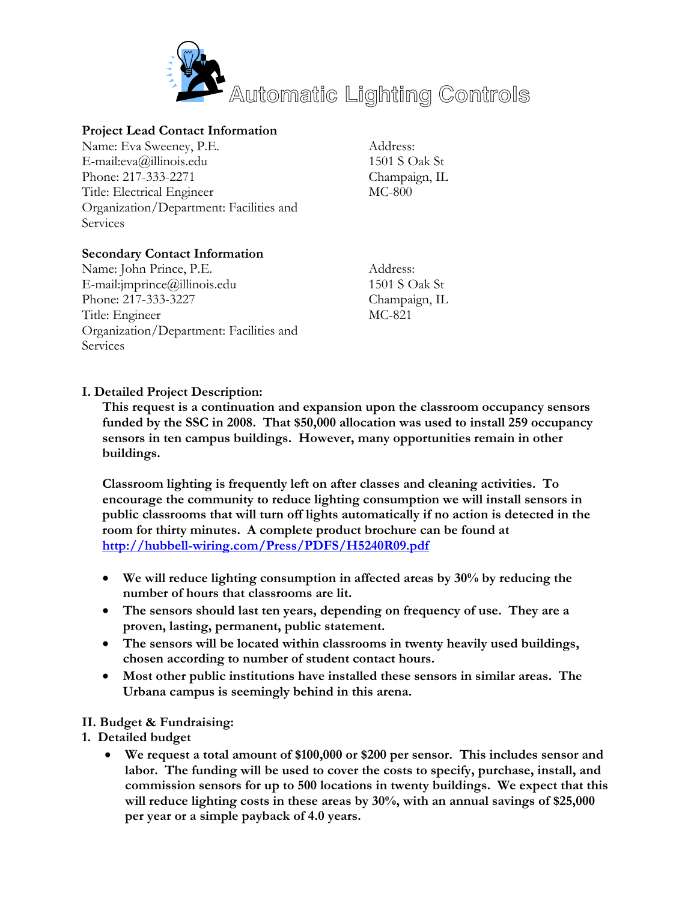

# **Project Lead Contact Information**

Name: Eva Sweeney, P.E. E-mail:eva@illinois.edu Phone: 217-333-2271 Title: Electrical Engineer Organization/Department: Facilities and **Services** 

Address: 1501 S Oak St Champaign, IL MC-800

# **Secondary Contact Information**

Name: John Prince, P.E. E-mail:jmprince@illinois.edu Phone: 217-333-3227 Title: Engineer Organization/Department: Facilities and Services

Address: 1501 S Oak St Champaign, IL MC-821

### **I. Detailed Project Description:**

**This request is a continuation and expansion upon the classroom occupancy sensors funded by the SSC in 2008. That \$50,000 allocation was used to install 259 occupancy sensors in ten campus buildings. However, many opportunities remain in other buildings.** 

**Classroom lighting is frequently left on after classes and cleaning activities. To encourage the community to reduce lighting consumption we will install sensors in public classrooms that will turn off lights automatically if no action is detected in the room for thirty minutes. A complete product brochure can be found at <http://hubbell-wiring.com/Press/PDFS/H5240R09.pdf>**

- **We will reduce lighting consumption in affected areas by 30% by reducing the number of hours that classrooms are lit.**
- **The sensors should last ten years, depending on frequency of use. They are a proven, lasting, permanent, public statement.**
- **The sensors will be located within classrooms in twenty heavily used buildings, chosen according to number of student contact hours.**
- **Most other public institutions have installed these sensors in similar areas. The Urbana campus is seemingly behind in this arena.**

#### **II. Budget & Fundraising:**

- **1. Detailed budget** 
	- **We request a total amount of \$100,000 or \$200 per sensor. This includes sensor and labor. The funding will be used to cover the costs to specify, purchase, install, and commission sensors for up to 500 locations in twenty buildings. We expect that this will reduce lighting costs in these areas by 30%, with an annual savings of \$25,000 per year or a simple payback of 4.0 years.**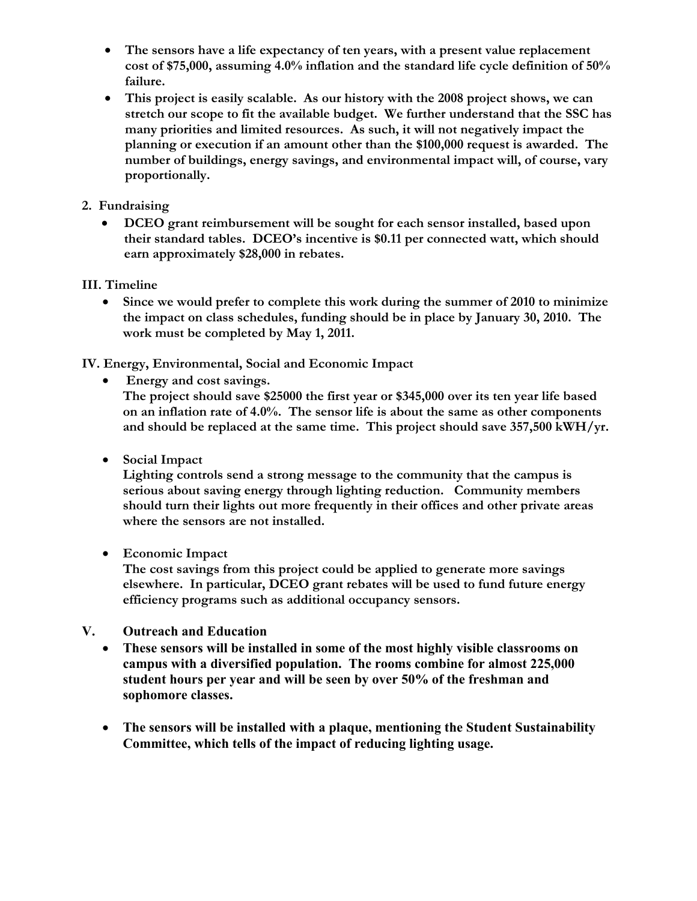- **The sensors have a life expectancy of ten years, with a present value replacement cost of \$75,000, assuming 4.0% inflation and the standard life cycle definition of 50% failure.**
- **This project is easily scalable. As our history with the 2008 project shows, we can stretch our scope to fit the available budget. We further understand that the SSC has many priorities and limited resources. As such, it will not negatively impact the planning or execution if an amount other than the \$100,000 request is awarded. The number of buildings, energy savings, and environmental impact will, of course, vary proportionally.**

### **2. Fundraising**

• **DCEO grant reimbursement will be sought for each sensor installed, based upon their standard tables. DCEO's incentive is \$0.11 per connected watt, which should earn approximately \$28,000 in rebates.**

#### **III. Timeline**

• **Since we would prefer to complete this work during the summer of 2010 to minimize the impact on class schedules, funding should be in place by January 30, 2010. The work must be completed by May 1, 2011.** 

**IV. Energy, Environmental, Social and Economic Impact** 

• **Energy and cost savings.** 

**The project should save \$25000 the first year or \$345,000 over its ten year life based on an inflation rate of 4.0%. The sensor life is about the same as other components and should be replaced at the same time. This project should save 357,500 kWH/yr.** 

• **Social Impact** 

**Lighting controls send a strong message to the community that the campus is serious about saving energy through lighting reduction. Community members should turn their lights out more frequently in their offices and other private areas where the sensors are not installed.** 

• **Economic Impact** 

**The cost savings from this project could be applied to generate more savings elsewhere. In particular, DCEO grant rebates will be used to fund future energy efficiency programs such as additional occupancy sensors.**

- **V. Outreach and Education** 
	- **These sensors will be installed in some of the most highly visible classrooms on campus with a diversified population. The rooms combine for almost 225,000 student hours per year and will be seen by over 50% of the freshman and sophomore classes.**
	- **The sensors will be installed with a plaque, mentioning the Student Sustainability Committee, which tells of the impact of reducing lighting usage.**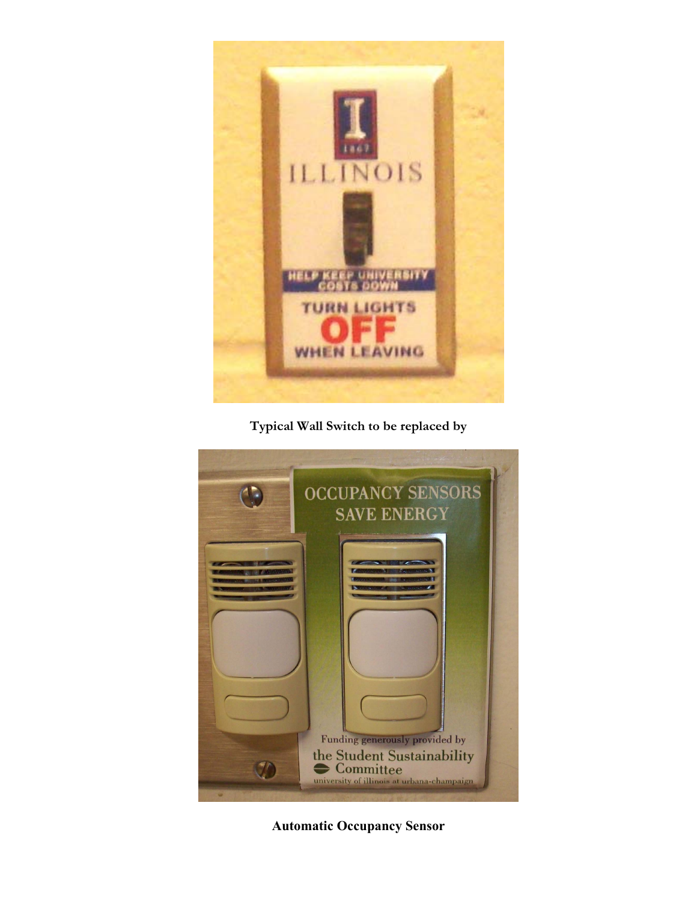

**Typical Wall Switch to be replaced by** 



**Automatic Occupancy Sensor**